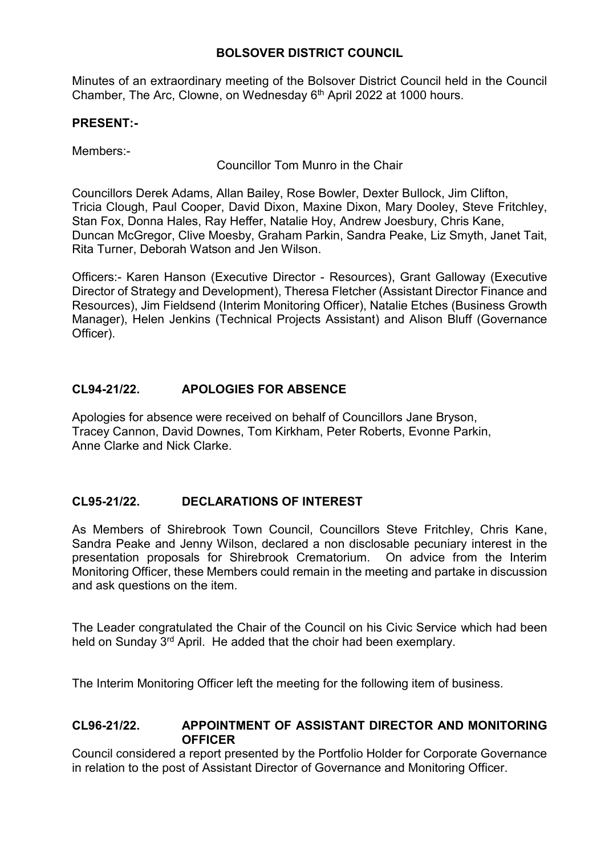## **BOLSOVER DISTRICT COUNCIL**

Minutes of an extraordinary meeting of the Bolsover District Council held in the Council Chamber, The Arc, Clowne, on Wednesday 6<sup>th</sup> April 2022 at 1000 hours.

## **PRESENT:-**

Members:-

Councillor Tom Munro in the Chair

Councillors Derek Adams, Allan Bailey, Rose Bowler, Dexter Bullock, Jim Clifton, Tricia Clough, Paul Cooper, David Dixon, Maxine Dixon, Mary Dooley, Steve Fritchley, Stan Fox, Donna Hales, Ray Heffer, Natalie Hoy, Andrew Joesbury, Chris Kane, Duncan McGregor, Clive Moesby, Graham Parkin, Sandra Peake, Liz Smyth, Janet Tait, Rita Turner, Deborah Watson and Jen Wilson.

Officers:- Karen Hanson (Executive Director - Resources), Grant Galloway (Executive Director of Strategy and Development), Theresa Fletcher (Assistant Director Finance and Resources), Jim Fieldsend (Interim Monitoring Officer), Natalie Etches (Business Growth Manager), Helen Jenkins (Technical Projects Assistant) and Alison Bluff (Governance Officer).

# **CL94-21/22. APOLOGIES FOR ABSENCE**

Apologies for absence were received on behalf of Councillors Jane Bryson, Tracey Cannon, David Downes, Tom Kirkham, Peter Roberts, Evonne Parkin, Anne Clarke and Nick Clarke.

## **CL95-21/22. DECLARATIONS OF INTEREST**

As Members of Shirebrook Town Council, Councillors Steve Fritchley, Chris Kane, Sandra Peake and Jenny Wilson, declared a non disclosable pecuniary interest in the presentation proposals for Shirebrook Crematorium. On advice from the Interim Monitoring Officer, these Members could remain in the meeting and partake in discussion and ask questions on the item.

The Leader congratulated the Chair of the Council on his Civic Service which had been held on Sunday 3<sup>rd</sup> April. He added that the choir had been exemplary.

The Interim Monitoring Officer left the meeting for the following item of business.

#### **CL96-21/22. APPOINTMENT OF ASSISTANT DIRECTOR AND MONITORING OFFICER**

Council considered a report presented by the Portfolio Holder for Corporate Governance in relation to the post of Assistant Director of Governance and Monitoring Officer.